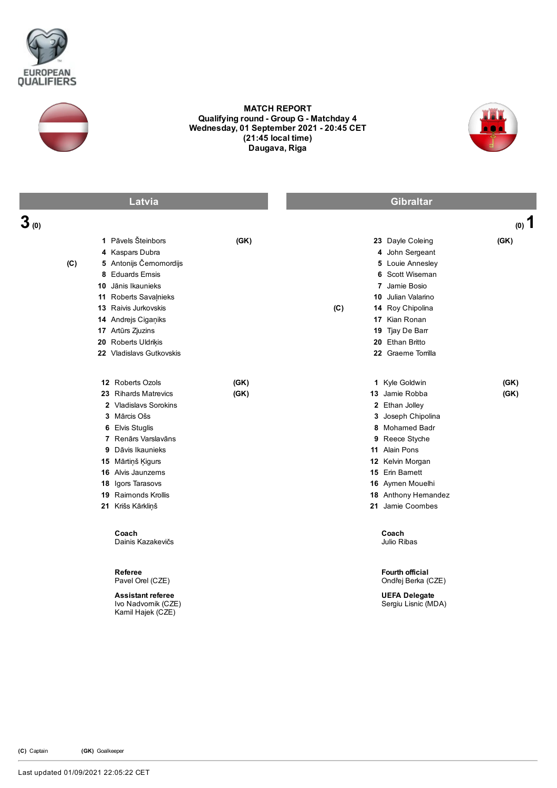



## MATCH REPORT Qualifying round - Group G - Matchday 4 Wednesday, 01 September 2021 20:45 CET (21:45 local time) Daugava, Riga



|                  | Latvia                                                                                                                                                                                                                                                                                           |              |     | <b>Gibraltar</b>                                                                                                                                                                                                                                            |              |
|------------------|--------------------------------------------------------------------------------------------------------------------------------------------------------------------------------------------------------------------------------------------------------------------------------------------------|--------------|-----|-------------------------------------------------------------------------------------------------------------------------------------------------------------------------------------------------------------------------------------------------------------|--------------|
| 3 <sub>(0)</sub> |                                                                                                                                                                                                                                                                                                  |              |     |                                                                                                                                                                                                                                                             | $(0)$ 1      |
| (C)              | 1 Pāvels Šteinbors<br>4 Kaspars Dubra<br>5 Antonijs Černomordijs<br>8 Eduards Emsis<br>10 Jānis Ikaunieks<br>11 Roberts Savalnieks<br>13 Raivis Jurkovskis<br>14 Andrejs Ciganiks<br>17 Artūrs Zjuzins<br>20 Roberts Uldriķis                                                                    | (GK)         | (C) | 23 Dayle Coleing<br>4 John Sergeant<br>5 Louie Annesley<br>6 Scott Wiseman<br>7 Jamie Bosio<br>10 Julian Valarino<br>14 Roy Chipolina<br>17 Kian Ronan<br>19 Tjay De Barr<br>20 Ethan Britto                                                                | (GK)         |
|                  | 22 Vladislavs Gutkovskis                                                                                                                                                                                                                                                                         |              |     | 22 Graeme Torrilla                                                                                                                                                                                                                                          |              |
|                  | 12 Roberts Ozols<br>23 Rihards Matrevics<br>2 Vladislavs Sorokins<br>3 Mārcis Ošs<br>6 Elvis Stuglis<br>7 Renārs Varslavāns<br>9 Dāvis Ikaunieks<br>15 Mārtiņš Ķigurs<br><b>16</b> Alvis Jaunzems<br>18 Igors Tarasovs<br>19 Raimonds Krollis<br>21 Krišs Kārkliņš<br>Coach<br>Dainis Kazakevičs | (GK)<br>(GK) |     | 1 Kyle Goldwin<br>13 Jamie Robba<br>2 Ethan Jolley<br>3 Joseph Chipolina<br>8 Mohamed Badr<br>9 Reece Styche<br>11 Alain Pons<br>12 Kelvin Morgan<br>15 Erin Barnett<br>16 Aymen Mouelhi<br>18 Anthony Hemandez<br>21 Jamie Coombes<br>Coach<br>Julio Ribas | (GK)<br>(GK) |
|                  | Referee<br>Pavel Orel (CZE)<br><b>Assistant referee</b><br>Ivo Nadvornik (CZE)<br>Kamil Hajek (CZE)                                                                                                                                                                                              |              |     | <b>Fourth official</b><br>Ondřej Berka (CZE)<br><b>UEFA Delegate</b><br>Sergiu Lisnic (MDA)                                                                                                                                                                 |              |